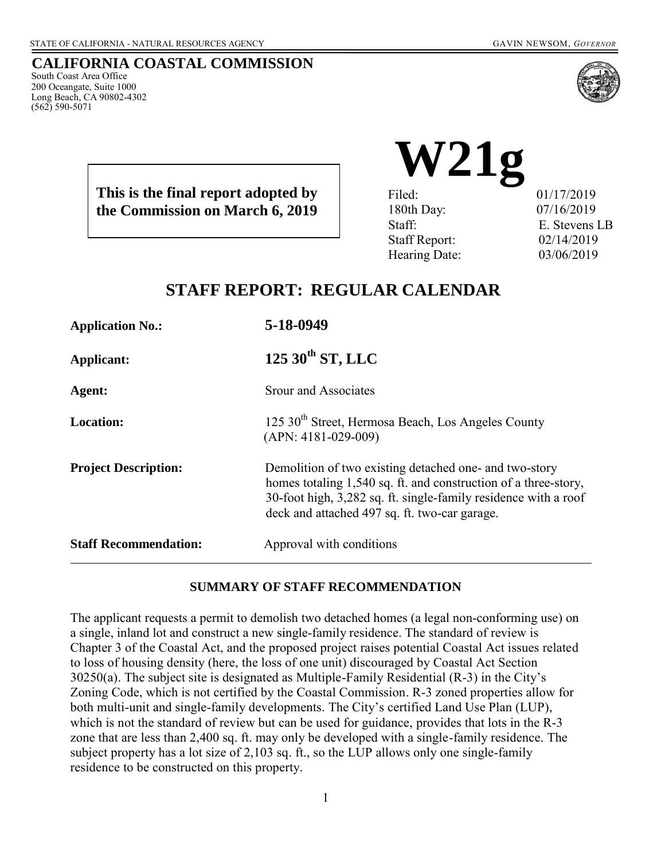South Coast Area Office 200 Oceangate, Suite 1000 Long Beach, CA 90802-4302

(562) 590-5071

**CALIFORNIA COASTAL COMMISSION**

**This is the final report adopted by the Commission on March 6, 2019**

**W21g** Filed: 01/17/2019 180th Day: 07/16/2019

Staff: E. Stevens LB Staff Report: 02/14/2019 Hearing Date: 03/06/2019

# **STAFF REPORT: REGULAR CALENDAR**

**Application No.: 5-18-0949 Applicant: 125 30th ST, LLC Agent:** Srour and Associates **Location:** 125 30<sup>th</sup> Street, Hermosa Beach, Los Angeles County (APN: 4181-029-009) **Project Description:** Demolition of two existing detached one- and two-story homes totaling 1,540 sq. ft. and construction of a three-story, 30-foot high, 3,282 sq. ft. single-family residence with a roof deck and attached 497 sq. ft. two-car garage. **Staff Recommendation:** Approval with conditions

#### **SUMMARY OF STAFF RECOMMENDATION**

The applicant requests a permit to demolish two detached homes (a legal non-conforming use) on a single, inland lot and construct a new single-family residence. The standard of review is Chapter 3 of the Coastal Act, and the proposed project raises potential Coastal Act issues related to loss of housing density (here, the loss of one unit) discouraged by Coastal Act Section 30250(a). The subject site is designated as Multiple-Family Residential (R-3) in the City's Zoning Code, which is not certified by the Coastal Commission. R-3 zoned properties allow for both multi-unit and single-family developments. The City's certified Land Use Plan (LUP), which is not the standard of review but can be used for guidance, provides that lots in the R-3 zone that are less than 2,400 sq. ft. may only be developed with a single-family residence. The subject property has a lot size of 2,103 sq. ft., so the LUP allows only one single-family residence to be constructed on this property.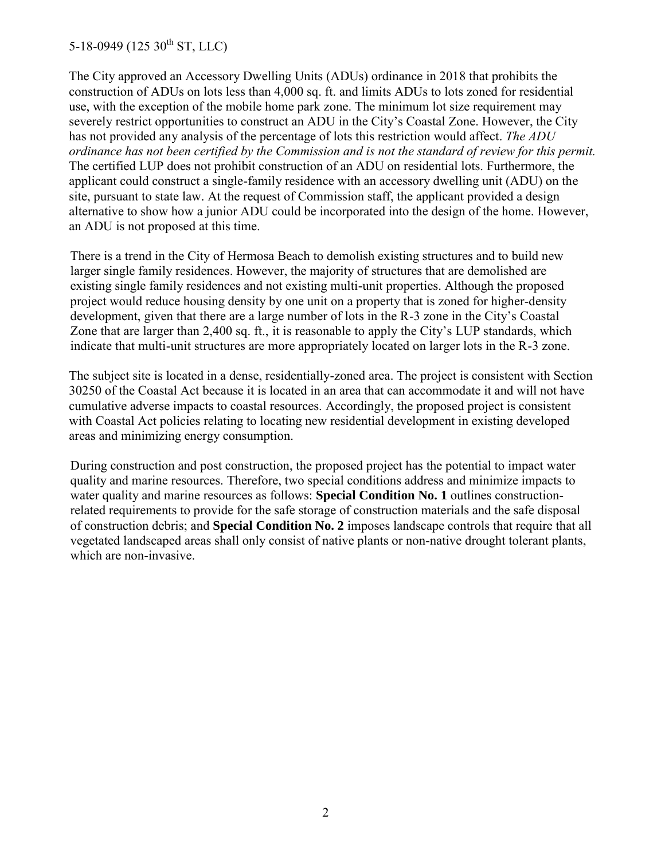The City approved an Accessory Dwelling Units (ADUs) ordinance in 2018 that prohibits the construction of ADUs on lots less than 4,000 sq. ft. and limits ADUs to lots zoned for residential use, with the exception of the mobile home park zone. The minimum lot size requirement may severely restrict opportunities to construct an ADU in the City's Coastal Zone. However, the City has not provided any analysis of the percentage of lots this restriction would affect. *The ADU ordinance has not been certified by the Commission and is not the standard of review for this permit.* The certified LUP does not prohibit construction of an ADU on residential lots. Furthermore, the applicant could construct a single-family residence with an accessory dwelling unit (ADU) on the site, pursuant to state law. At the request of Commission staff, the applicant provided a design alternative to show how a junior ADU could be incorporated into the design of the home. However, an ADU is not proposed at this time.

There is a trend in the City of Hermosa Beach to demolish existing structures and to build new larger single family residences. However, the majority of structures that are demolished are existing single family residences and not existing multi-unit properties. Although the proposed project would reduce housing density by one unit on a property that is zoned for higher-density development, given that there are a large number of lots in the R-3 zone in the City's Coastal Zone that are larger than 2,400 sq. ft., it is reasonable to apply the City's LUP standards, which indicate that multi-unit structures are more appropriately located on larger lots in the R-3 zone.

The subject site is located in a dense, residentially-zoned area. The project is consistent with Section 30250 of the Coastal Act because it is located in an area that can accommodate it and will not have cumulative adverse impacts to coastal resources. Accordingly, the proposed project is consistent with Coastal Act policies relating to locating new residential development in existing developed areas and minimizing energy consumption.

During construction and post construction, the proposed project has the potential to impact water quality and marine resources. Therefore, two special conditions address and minimize impacts to water quality and marine resources as follows: **Special Condition No. 1** outlines constructionrelated requirements to provide for the safe storage of construction materials and the safe disposal of construction debris; and **Special Condition No. 2** imposes landscape controls that require that all vegetated landscaped areas shall only consist of native plants or non-native drought tolerant plants, which are non-invasive.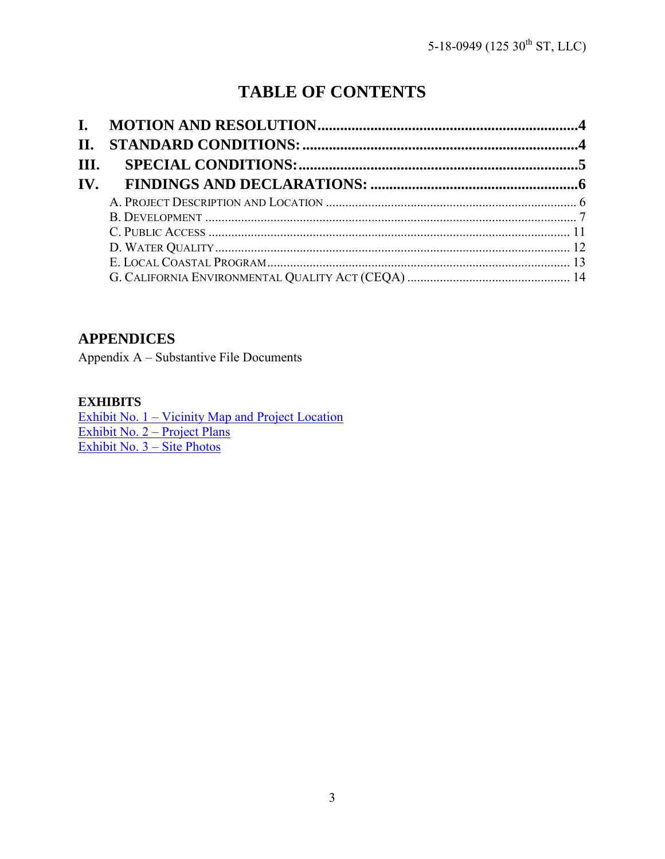# **TABLE OF CONTENTS**

| II.                      |  |
|--------------------------|--|
| III.                     |  |
| $\mathbf{IV}_{\text{-}}$ |  |
|                          |  |
|                          |  |
|                          |  |
|                          |  |
|                          |  |
|                          |  |

# **APPENDICES**

Appendix A – Substantive File Documents

#### **EXHIBITS**

Exhibit No. 1 – Vicinity Map and Project Location [Exhibit No. 2 – Project Plans](https://documents.coastal.ca.gov/reports/2019/3/w21g/w21g-3-2019-exhibits.pdf)  [Exhibit No. 3 –](https://documents.coastal.ca.gov/reports/2019/3/w21g/w21g-3-2019-exhibits.pdf) Site Photos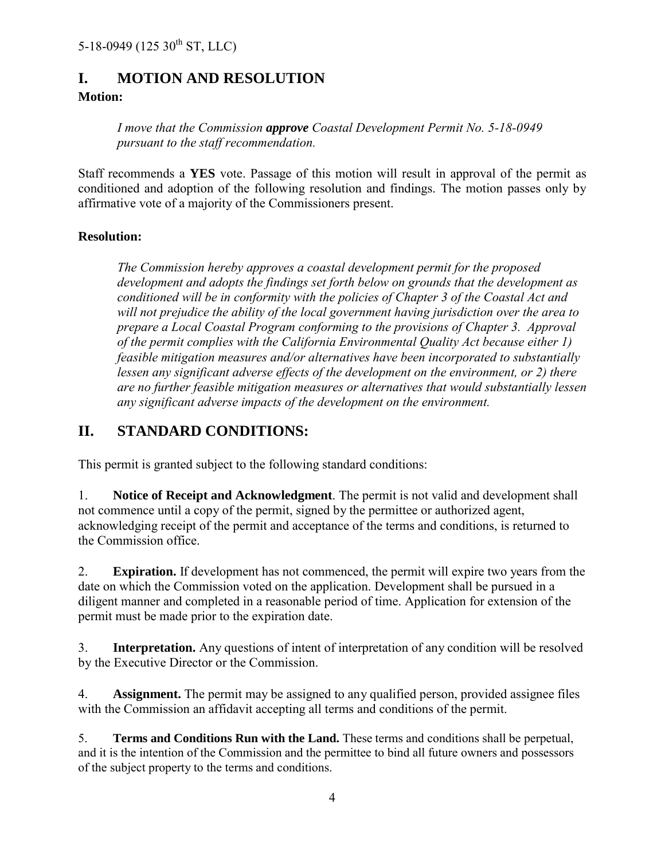## <span id="page-3-0"></span>**I. MOTION AND RESOLUTION**

#### **Motion:**

*I move that the Commission approve Coastal Development Permit No. 5-18-0949 pursuant to the staff recommendation.*

Staff recommends a **YES** vote. Passage of this motion will result in approval of the permit as conditioned and adoption of the following resolution and findings. The motion passes only by affirmative vote of a majority of the Commissioners present.

#### **Resolution:**

*The Commission hereby approves a coastal development permit for the proposed development and adopts the findings set forth below on grounds that the development as conditioned will be in conformity with the policies of Chapter 3 of the Coastal Act and will not prejudice the ability of the local government having jurisdiction over the area to prepare a Local Coastal Program conforming to the provisions of Chapter 3. Approval of the permit complies with the California Environmental Quality Act because either 1) feasible mitigation measures and/or alternatives have been incorporated to substantially lessen any significant adverse effects of the development on the environment, or 2) there are no further feasible mitigation measures or alternatives that would substantially lessen any significant adverse impacts of the development on the environment.*

## <span id="page-3-1"></span>**II. STANDARD CONDITIONS:**

This permit is granted subject to the following standard conditions:

1. **Notice of Receipt and Acknowledgment**. The permit is not valid and development shall not commence until a copy of the permit, signed by the permittee or authorized agent, acknowledging receipt of the permit and acceptance of the terms and conditions, is returned to the Commission office.

2. **Expiration.** If development has not commenced, the permit will expire two years from the date on which the Commission voted on the application. Development shall be pursued in a diligent manner and completed in a reasonable period of time. Application for extension of the permit must be made prior to the expiration date.

3. **Interpretation.** Any questions of intent of interpretation of any condition will be resolved by the Executive Director or the Commission.

4. **Assignment.** The permit may be assigned to any qualified person, provided assignee files with the Commission an affidavit accepting all terms and conditions of the permit.

5. **Terms and Conditions Run with the Land.** These terms and conditions shall be perpetual, and it is the intention of the Commission and the permittee to bind all future owners and possessors of the subject property to the terms and conditions.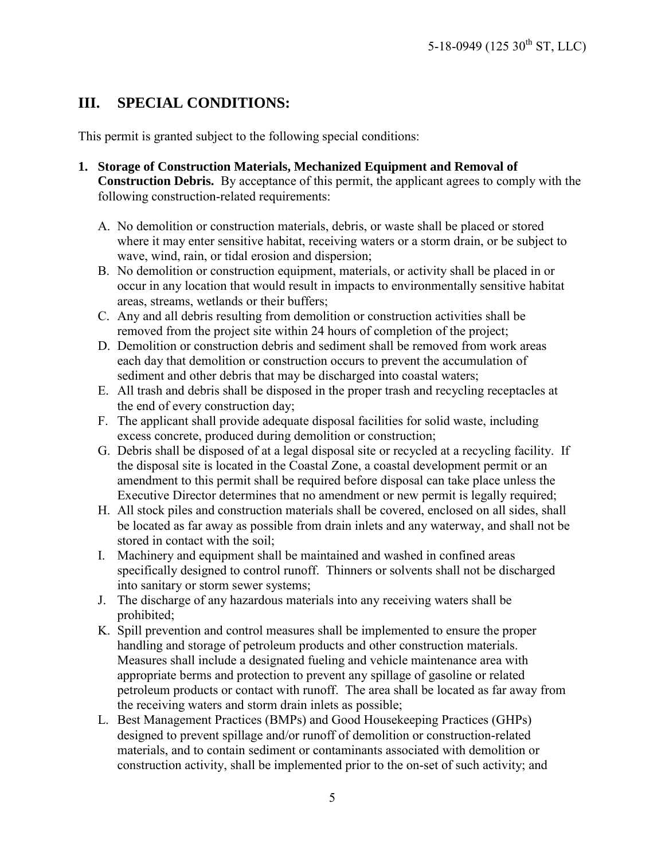# <span id="page-4-0"></span>**III. SPECIAL CONDITIONS:**

This permit is granted subject to the following special conditions:

- **1. Storage of Construction Materials, Mechanized Equipment and Removal of Construction Debris.** By acceptance of this permit, the applicant agrees to comply with the following construction-related requirements:
	- A. No demolition or construction materials, debris, or waste shall be placed or stored where it may enter sensitive habitat, receiving waters or a storm drain, or be subject to wave, wind, rain, or tidal erosion and dispersion;
	- B. No demolition or construction equipment, materials, or activity shall be placed in or occur in any location that would result in impacts to environmentally sensitive habitat areas, streams, wetlands or their buffers;
	- C. Any and all debris resulting from demolition or construction activities shall be removed from the project site within 24 hours of completion of the project;
	- D. Demolition or construction debris and sediment shall be removed from work areas each day that demolition or construction occurs to prevent the accumulation of sediment and other debris that may be discharged into coastal waters;
	- E. All trash and debris shall be disposed in the proper trash and recycling receptacles at the end of every construction day;
	- F. The applicant shall provide adequate disposal facilities for solid waste, including excess concrete, produced during demolition or construction;
	- G. Debris shall be disposed of at a legal disposal site or recycled at a recycling facility. If the disposal site is located in the Coastal Zone, a coastal development permit or an amendment to this permit shall be required before disposal can take place unless the Executive Director determines that no amendment or new permit is legally required;
	- H. All stock piles and construction materials shall be covered, enclosed on all sides, shall be located as far away as possible from drain inlets and any waterway, and shall not be stored in contact with the soil;
	- I. Machinery and equipment shall be maintained and washed in confined areas specifically designed to control runoff. Thinners or solvents shall not be discharged into sanitary or storm sewer systems;
	- J. The discharge of any hazardous materials into any receiving waters shall be prohibited;
	- K. Spill prevention and control measures shall be implemented to ensure the proper handling and storage of petroleum products and other construction materials. Measures shall include a designated fueling and vehicle maintenance area with appropriate berms and protection to prevent any spillage of gasoline or related petroleum products or contact with runoff. The area shall be located as far away from the receiving waters and storm drain inlets as possible;
	- L. Best Management Practices (BMPs) and Good Housekeeping Practices (GHPs) designed to prevent spillage and/or runoff of demolition or construction-related materials, and to contain sediment or contaminants associated with demolition or construction activity, shall be implemented prior to the on-set of such activity; and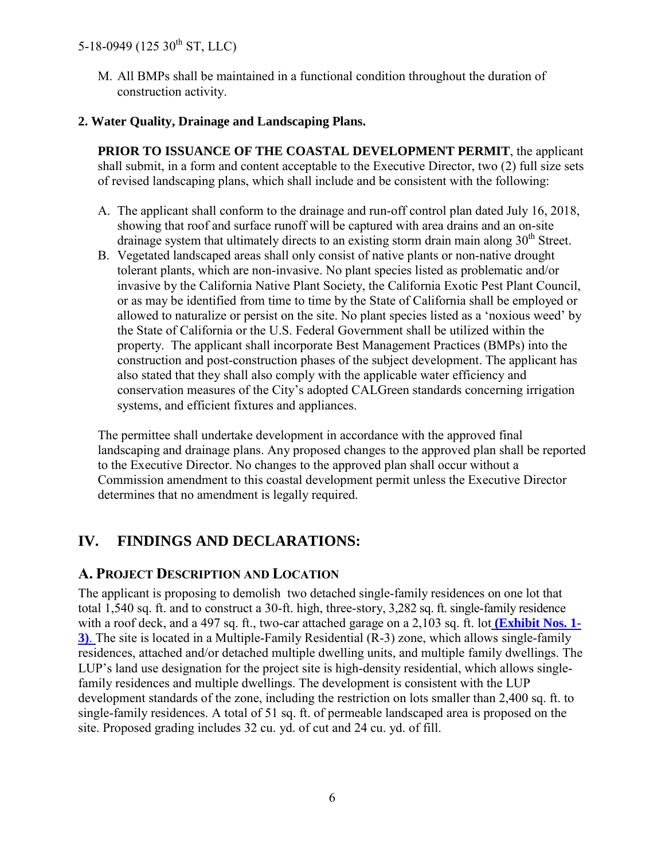M. All BMPs shall be maintained in a functional condition throughout the duration of construction activity.

#### **2. Water Quality, Drainage and Landscaping Plans.**

**PRIOR TO ISSUANCE OF THE COASTAL DEVELOPMENT PERMIT**, the applicant shall submit, in a form and content acceptable to the Executive Director, two (2) full size sets of revised landscaping plans, which shall include and be consistent with the following:

- A. The applicant shall conform to the drainage and run-off control plan dated July 16, 2018, showing that roof and surface runoff will be captured with area drains and an on-site drainage system that ultimately directs to an existing storm drain main along  $30<sup>th</sup>$  Street.
- B. Vegetated landscaped areas shall only consist of native plants or non-native drought tolerant plants, which are non-invasive. No plant species listed as problematic and/or invasive by the California Native Plant Society, the California Exotic Pest Plant Council, or as may be identified from time to time by the State of California shall be employed or allowed to naturalize or persist on the site. No plant species listed as a 'noxious weed' by the State of California or the U.S. Federal Government shall be utilized within the property. The applicant shall incorporate Best Management Practices (BMPs) into the construction and post-construction phases of the subject development. The applicant has also stated that they shall also comply with the applicable water efficiency and conservation measures of the City's adopted CALGreen standards concerning irrigation systems, and efficient fixtures and appliances.

The permittee shall undertake development in accordance with the approved final landscaping and drainage plans. Any proposed changes to the approved plan shall be reported to the Executive Director. No changes to the approved plan shall occur without a Commission amendment to this coastal development permit unless the Executive Director determines that no amendment is legally required.

# <span id="page-5-0"></span>**IV. FINDINGS AND DECLARATIONS:**

## <span id="page-5-1"></span>**A. PROJECT DESCRIPTION AND LOCATION**

The applicant is proposing to demolish two detached single-family residences on one lot that total 1,540 sq. ft. and to construct a 30-ft. high, three-story, 3,282 sq. ft. single-family residence with a roof deck, and a 497 sq. ft., two-car attached garage on a 2,103 sq. ft. lot **[\(Exhibit Nos. 1-](https://documents.coastal.ca.gov/reports/2019/3/w21g/w21g-3-2019-exhibits.pdf) [3\)](https://documents.coastal.ca.gov/reports/2019/3/w21g/w21g-3-2019-exhibits.pdf)**. The site is located in a Multiple-Family Residential (R-3) zone, which allows single-family residences, attached and/or detached multiple dwelling units, and multiple family dwellings. The LUP's land use designation for the project site is high-density residential, which allows singlefamily residences and multiple dwellings. The development is consistent with the LUP development standards of the zone, including the restriction on lots smaller than 2,400 sq. ft. to single-family residences. A total of 51 sq. ft. of permeable landscaped area is proposed on the site. Proposed grading includes 32 cu. yd. of cut and 24 cu. yd. of fill.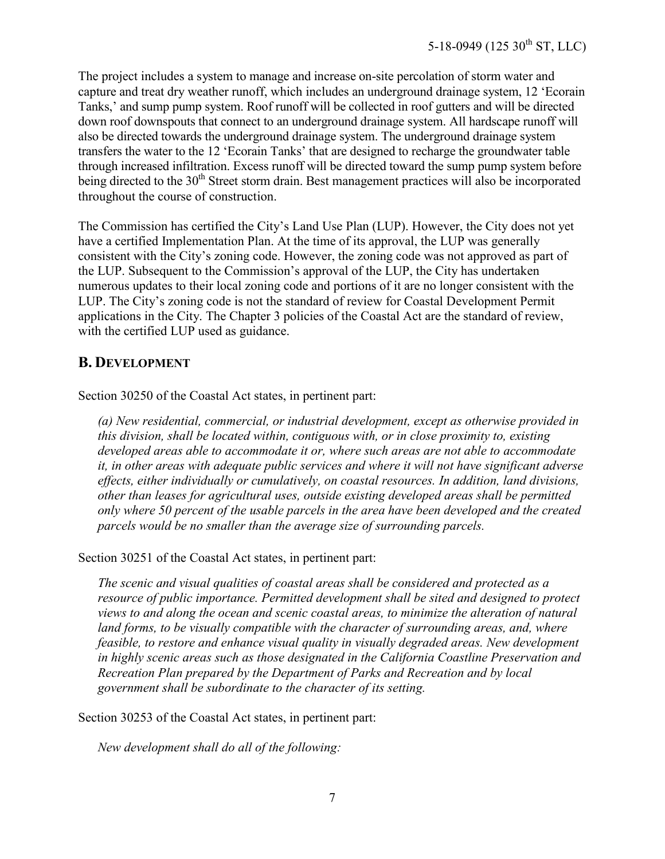The project includes a system to manage and increase on-site percolation of storm water and capture and treat dry weather runoff, which includes an underground drainage system, 12 'Ecorain Tanks,' and sump pump system. Roof runoff will be collected in roof gutters and will be directed down roof downspouts that connect to an underground drainage system. All hardscape runoff will also be directed towards the underground drainage system. The underground drainage system transfers the water to the 12 'Ecorain Tanks' that are designed to recharge the groundwater table through increased infiltration. Excess runoff will be directed toward the sump pump system before being directed to the  $30<sup>th</sup>$  Street storm drain. Best management practices will also be incorporated throughout the course of construction.

The Commission has certified the City's Land Use Plan (LUP). However, the City does not yet have a certified Implementation Plan. At the time of its approval, the LUP was generally consistent with the City's zoning code. However, the zoning code was not approved as part of the LUP. Subsequent to the Commission's approval of the LUP, the City has undertaken numerous updates to their local zoning code and portions of it are no longer consistent with the LUP. The City's zoning code is not the standard of review for Coastal Development Permit applications in the City. The Chapter 3 policies of the Coastal Act are the standard of review, with the certified LUP used as guidance.

## <span id="page-6-0"></span>**B. DEVELOPMENT**

Section 30250 of the Coastal Act states, in pertinent part:

*(a) New residential, commercial, or industrial development, except as otherwise provided in this division, shall be located within, contiguous with, or in close proximity to, existing developed areas able to accommodate it or, where such areas are not able to accommodate it, in other areas with adequate public services and where it will not have significant adverse effects, either individually or cumulatively, on coastal resources. In addition, land divisions, other than leases for agricultural uses, outside existing developed areas shall be permitted only where 50 percent of the usable parcels in the area have been developed and the created parcels would be no smaller than the average size of surrounding parcels.* 

Section 30251 of the Coastal Act states, in pertinent part:

*The scenic and visual qualities of coastal areas shall be considered and protected as a resource of public importance. Permitted development shall be sited and designed to protect views to and along the ocean and scenic coastal areas, to minimize the alteration of natural*  land forms, to be visually compatible with the character of surrounding areas, and, where *feasible, to restore and enhance visual quality in visually degraded areas. New development in highly scenic areas such as those designated in the California Coastline Preservation and Recreation Plan prepared by the Department of Parks and Recreation and by local government shall be subordinate to the character of its setting.* 

Section 30253 of the Coastal Act states, in pertinent part:

*New development shall do all of the following:*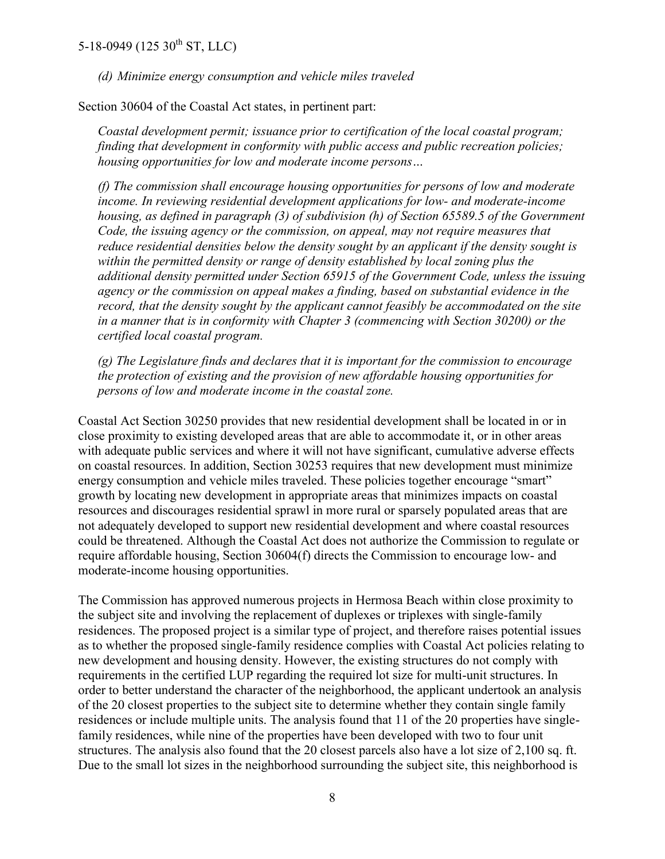*(d) Minimize energy consumption and vehicle miles traveled* 

Section 30604 of the Coastal Act states, in pertinent part:

*Coastal development permit; issuance prior to certification of the local coastal program; finding that development in conformity with public access and public recreation policies; housing opportunities for low and moderate income persons…* 

*(f) The commission shall encourage housing opportunities for persons of low and moderate income. In reviewing residential development applications for low- and moderate-income housing, as defined in paragraph (3) of subdivision (h) of Section 65589.5 of the Government Code, the issuing agency or the commission, on appeal, may not require measures that reduce residential densities below the density sought by an applicant if the density sought is within the permitted density or range of density established by local zoning plus the additional density permitted under Section 65915 of the Government Code, unless the issuing agency or the commission on appeal makes a finding, based on substantial evidence in the record, that the density sought by the applicant cannot feasibly be accommodated on the site in a manner that is in conformity with Chapter 3 (commencing with Section 30200) or the certified local coastal program.* 

*(g) The Legislature finds and declares that it is important for the commission to encourage the protection of existing and the provision of new affordable housing opportunities for persons of low and moderate income in the coastal zone.* 

Coastal Act Section 30250 provides that new residential development shall be located in or in close proximity to existing developed areas that are able to accommodate it, or in other areas with adequate public services and where it will not have significant, cumulative adverse effects on coastal resources. In addition, Section 30253 requires that new development must minimize energy consumption and vehicle miles traveled. These policies together encourage "smart" growth by locating new development in appropriate areas that minimizes impacts on coastal resources and discourages residential sprawl in more rural or sparsely populated areas that are not adequately developed to support new residential development and where coastal resources could be threatened. Although the Coastal Act does not authorize the Commission to regulate or require affordable housing, Section 30604(f) directs the Commission to encourage low- and moderate-income housing opportunities.

The Commission has approved numerous projects in Hermosa Beach within close proximity to the subject site and involving the replacement of duplexes or triplexes with single-family residences. The proposed project is a similar type of project, and therefore raises potential issues as to whether the proposed single-family residence complies with Coastal Act policies relating to new development and housing density. However, the existing structures do not comply with requirements in the certified LUP regarding the required lot size for multi-unit structures. In order to better understand the character of the neighborhood, the applicant undertook an analysis of the 20 closest properties to the subject site to determine whether they contain single family residences or include multiple units. The analysis found that 11 of the 20 properties have singlefamily residences, while nine of the properties have been developed with two to four unit structures. The analysis also found that the 20 closest parcels also have a lot size of 2,100 sq. ft. Due to the small lot sizes in the neighborhood surrounding the subject site, this neighborhood is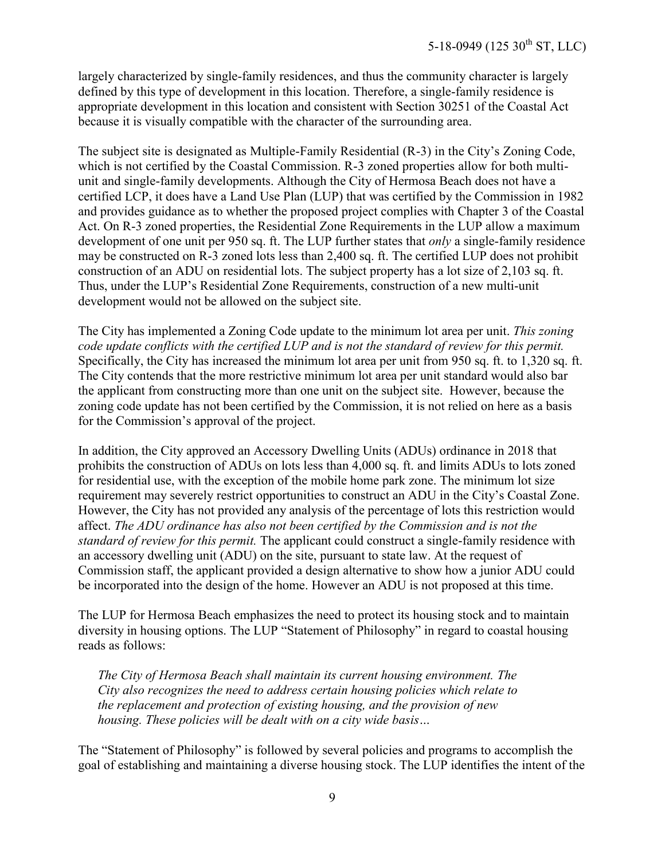largely characterized by single-family residences, and thus the community character is largely defined by this type of development in this location. Therefore, a single-family residence is appropriate development in this location and consistent with Section 30251 of the Coastal Act because it is visually compatible with the character of the surrounding area.

The subject site is designated as Multiple-Family Residential (R-3) in the City's Zoning Code, which is not certified by the Coastal Commission. R-3 zoned properties allow for both multiunit and single-family developments. Although the City of Hermosa Beach does not have a certified LCP, it does have a Land Use Plan (LUP) that was certified by the Commission in 1982 and provides guidance as to whether the proposed project complies with Chapter 3 of the Coastal Act. On R-3 zoned properties, the Residential Zone Requirements in the LUP allow a maximum development of one unit per 950 sq. ft. The LUP further states that *only* a single-family residence may be constructed on R-3 zoned lots less than 2,400 sq. ft. The certified LUP does not prohibit construction of an ADU on residential lots. The subject property has a lot size of 2,103 sq. ft. Thus, under the LUP's Residential Zone Requirements, construction of a new multi-unit development would not be allowed on the subject site.

The City has implemented a Zoning Code update to the minimum lot area per unit. *This zoning code update conflicts with the certified LUP and is not the standard of review for this permit.*  Specifically, the City has increased the minimum lot area per unit from 950 sq. ft. to 1,320 sq. ft. The City contends that the more restrictive minimum lot area per unit standard would also bar the applicant from constructing more than one unit on the subject site. However, because the zoning code update has not been certified by the Commission, it is not relied on here as a basis for the Commission's approval of the project.

In addition, the City approved an Accessory Dwelling Units (ADUs) ordinance in 2018 that prohibits the construction of ADUs on lots less than 4,000 sq. ft. and limits ADUs to lots zoned for residential use, with the exception of the mobile home park zone. The minimum lot size requirement may severely restrict opportunities to construct an ADU in the City's Coastal Zone. However, the City has not provided any analysis of the percentage of lots this restriction would affect. *The ADU ordinance has also not been certified by the Commission and is not the standard of review for this permit.* The applicant could construct a single-family residence with an accessory dwelling unit (ADU) on the site, pursuant to state law. At the request of Commission staff, the applicant provided a design alternative to show how a junior ADU could be incorporated into the design of the home. However an ADU is not proposed at this time.

The LUP for Hermosa Beach emphasizes the need to protect its housing stock and to maintain diversity in housing options. The LUP "Statement of Philosophy" in regard to coastal housing reads as follows:

*The City of Hermosa Beach shall maintain its current housing environment. The City also recognizes the need to address certain housing policies which relate to the replacement and protection of existing housing, and the provision of new housing. These policies will be dealt with on a city wide basis…* 

The "Statement of Philosophy" is followed by several policies and programs to accomplish the goal of establishing and maintaining a diverse housing stock. The LUP identifies the intent of the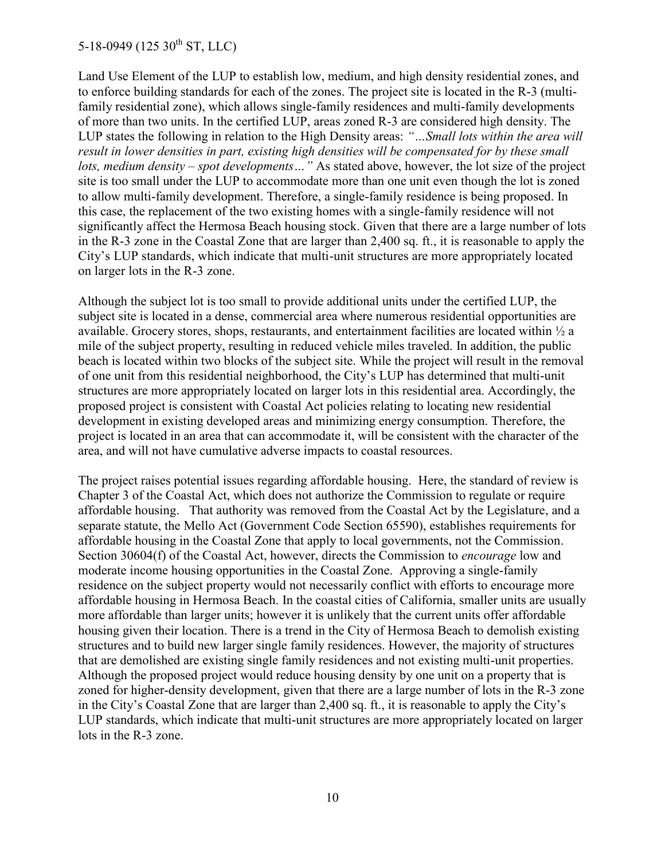Land Use Element of the LUP to establish low, medium, and high density residential zones, and to enforce building standards for each of the zones. The project site is located in the R-3 (multifamily residential zone), which allows single-family residences and multi-family developments of more than two units. In the certified LUP, areas zoned R-3 are considered high density. The LUP states the following in relation to the High Density areas: *"…Small lots within the area will result in lower densities in part, existing high densities will be compensated for by these small lots, medium density – spot developments…"* As stated above, however, the lot size of the project site is too small under the LUP to accommodate more than one unit even though the lot is zoned to allow multi-family development. Therefore, a single-family residence is being proposed. In this case, the replacement of the two existing homes with a single-family residence will not significantly affect the Hermosa Beach housing stock. Given that there are a large number of lots in the R-3 zone in the Coastal Zone that are larger than 2,400 sq. ft., it is reasonable to apply the City's LUP standards, which indicate that multi-unit structures are more appropriately located on larger lots in the R-3 zone.

Although the subject lot is too small to provide additional units under the certified LUP, the subject site is located in a dense, commercial area where numerous residential opportunities are available. Grocery stores, shops, restaurants, and entertainment facilities are located within ½ a mile of the subject property, resulting in reduced vehicle miles traveled. In addition, the public beach is located within two blocks of the subject site. While the project will result in the removal of one unit from this residential neighborhood, the City's LUP has determined that multi-unit structures are more appropriately located on larger lots in this residential area. Accordingly, the proposed project is consistent with Coastal Act policies relating to locating new residential development in existing developed areas and minimizing energy consumption. Therefore, the project is located in an area that can accommodate it, will be consistent with the character of the area, and will not have cumulative adverse impacts to coastal resources.

The project raises potential issues regarding affordable housing. Here, the standard of review is Chapter 3 of the Coastal Act, which does not authorize the Commission to regulate or require affordable housing. That authority was removed from the Coastal Act by the Legislature, and a separate statute, the Mello Act (Government Code Section 65590), establishes requirements for affordable housing in the Coastal Zone that apply to local governments, not the Commission. Section 30604(f) of the Coastal Act, however, directs the Commission to *encourage* low and moderate income housing opportunities in the Coastal Zone. Approving a single-family residence on the subject property would not necessarily conflict with efforts to encourage more affordable housing in Hermosa Beach. In the coastal cities of California, smaller units are usually more affordable than larger units; however it is unlikely that the current units offer affordable housing given their location. There is a trend in the City of Hermosa Beach to demolish existing structures and to build new larger single family residences. However, the majority of structures that are demolished are existing single family residences and not existing multi-unit properties. Although the proposed project would reduce housing density by one unit on a property that is zoned for higher-density development, given that there are a large number of lots in the R-3 zone in the City's Coastal Zone that are larger than 2,400 sq. ft., it is reasonable to apply the City's LUP standards, which indicate that multi-unit structures are more appropriately located on larger lots in the R-3 zone.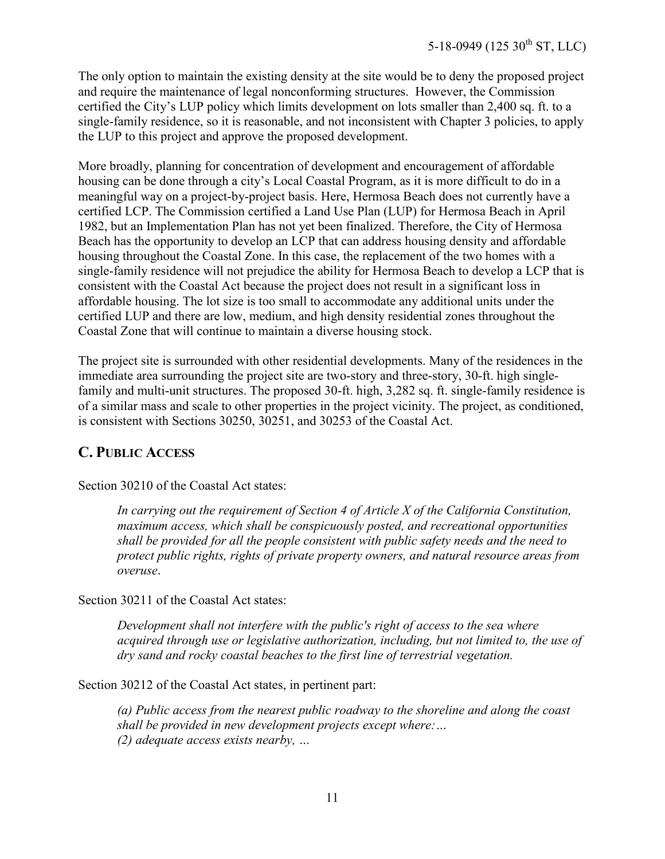The only option to maintain the existing density at the site would be to deny the proposed project and require the maintenance of legal nonconforming structures. However, the Commission certified the City's LUP policy which limits development on lots smaller than 2,400 sq. ft. to a single-family residence, so it is reasonable, and not inconsistent with Chapter 3 policies, to apply the LUP to this project and approve the proposed development.

More broadly, planning for concentration of development and encouragement of affordable housing can be done through a city's Local Coastal Program, as it is more difficult to do in a meaningful way on a project-by-project basis. Here, Hermosa Beach does not currently have a certified LCP. The Commission certified a Land Use Plan (LUP) for Hermosa Beach in April 1982, but an Implementation Plan has not yet been finalized. Therefore, the City of Hermosa Beach has the opportunity to develop an LCP that can address housing density and affordable housing throughout the Coastal Zone. In this case, the replacement of the two homes with a single-family residence will not prejudice the ability for Hermosa Beach to develop a LCP that is consistent with the Coastal Act because the project does not result in a significant loss in affordable housing. The lot size is too small to accommodate any additional units under the certified LUP and there are low, medium, and high density residential zones throughout the Coastal Zone that will continue to maintain a diverse housing stock.

The project site is surrounded with other residential developments. Many of the residences in the immediate area surrounding the project site are two-story and three-story, 30-ft. high singlefamily and multi-unit structures. The proposed 30-ft. high, 3,282 sq. ft. single-family residence is of a similar mass and scale to other properties in the project vicinity. The project, as conditioned, is consistent with Sections 30250, 30251, and 30253 of the Coastal Act.

# <span id="page-10-0"></span>**C. PUBLIC ACCESS**

Section 30210 of the Coastal Act states:

*In carrying out the requirement of Section 4 of Article X of the California Constitution, maximum access, which shall be conspicuously posted, and recreational opportunities shall be provided for all the people consistent with public safety needs and the need to protect public rights, rights of private property owners, and natural resource areas from overuse*.

Section 30211 of the Coastal Act states:

*Development shall not interfere with the public's right of access to the sea where acquired through use or legislative authorization, including, but not limited to, the use of dry sand and rocky coastal beaches to the first line of terrestrial vegetation.* 

Section 30212 of the Coastal Act states, in pertinent part:

*(a) Public access from the nearest public roadway to the shoreline and along the coast shall be provided in new development projects except where:… (2) adequate access exists nearby, …*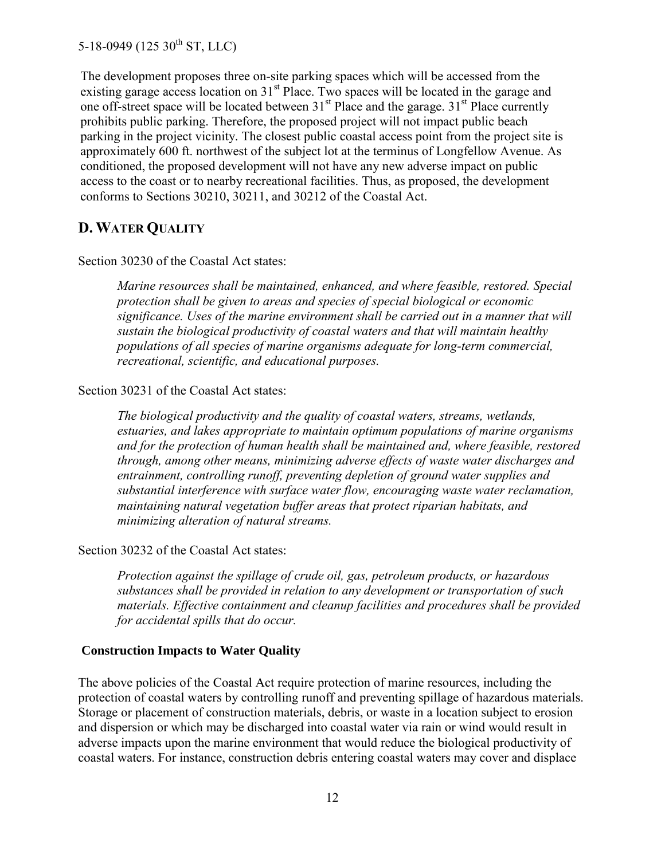The development proposes three on-site parking spaces which will be accessed from the existing garage access location on 31<sup>st</sup> Place. Two spaces will be located in the garage and one off-street space will be located between  $31<sup>st</sup>$  Place and the garage.  $31<sup>st</sup>$  Place currently prohibits public parking. Therefore, the proposed project will not impact public beach parking in the project vicinity. The closest public coastal access point from the project site is approximately 600 ft. northwest of the subject lot at the terminus of Longfellow Avenue. As conditioned, the proposed development will not have any new adverse impact on public access to the coast or to nearby recreational facilities. Thus, as proposed, the development conforms to Sections 30210, 30211, and 30212 of the Coastal Act.

#### <span id="page-11-0"></span>**D. WATER QUALITY**

Section 30230 of the Coastal Act states:

*Marine resources shall be maintained, enhanced, and where feasible, restored. Special protection shall be given to areas and species of special biological or economic significance. Uses of the marine environment shall be carried out in a manner that will sustain the biological productivity of coastal waters and that will maintain healthy populations of all species of marine organisms adequate for long-term commercial, recreational, scientific, and educational purposes.* 

#### Section 30231 of the Coastal Act states:

*The biological productivity and the quality of coastal waters, streams, wetlands, estuaries, and lakes appropriate to maintain optimum populations of marine organisms and for the protection of human health shall be maintained and, where feasible, restored through, among other means, minimizing adverse effects of waste water discharges and entrainment, controlling runoff, preventing depletion of ground water supplies and substantial interference with surface water flow, encouraging waste water reclamation, maintaining natural vegetation buffer areas that protect riparian habitats, and minimizing alteration of natural streams.* 

#### Section 30232 of the Coastal Act states:

*Protection against the spillage of crude oil, gas, petroleum products, or hazardous substances shall be provided in relation to any development or transportation of such materials. Effective containment and cleanup facilities and procedures shall be provided for accidental spills that do occur.* 

#### **Construction Impacts to Water Quality**

The above policies of the Coastal Act require protection of marine resources, including the protection of coastal waters by controlling runoff and preventing spillage of hazardous materials. Storage or placement of construction materials, debris, or waste in a location subject to erosion and dispersion or which may be discharged into coastal water via rain or wind would result in adverse impacts upon the marine environment that would reduce the biological productivity of coastal waters. For instance, construction debris entering coastal waters may cover and displace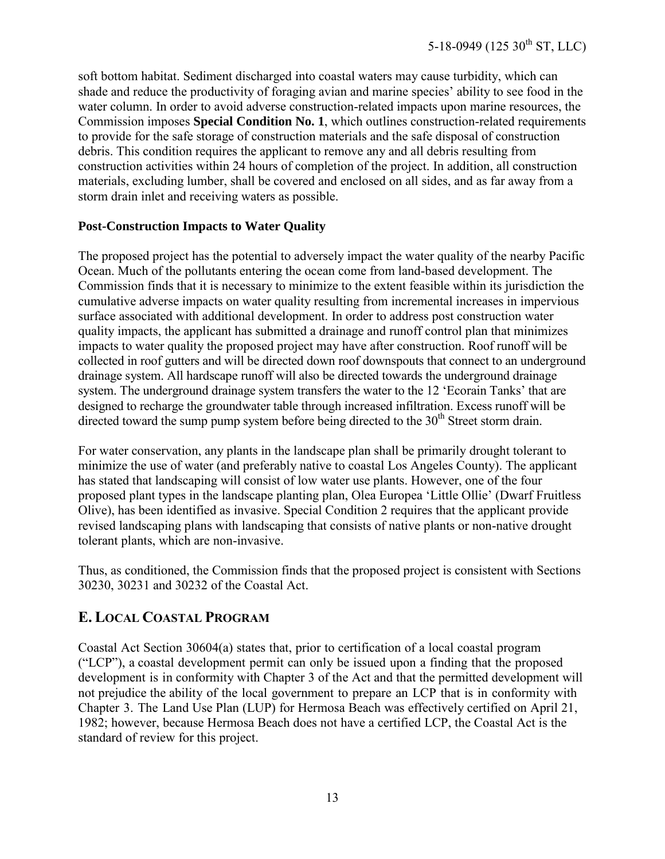soft bottom habitat. Sediment discharged into coastal waters may cause turbidity, which can shade and reduce the productivity of foraging avian and marine species' ability to see food in the water column. In order to avoid adverse construction-related impacts upon marine resources, the Commission imposes **Special Condition No. 1**, which outlines construction-related requirements to provide for the safe storage of construction materials and the safe disposal of construction debris. This condition requires the applicant to remove any and all debris resulting from construction activities within 24 hours of completion of the project. In addition, all construction materials, excluding lumber, shall be covered and enclosed on all sides, and as far away from a storm drain inlet and receiving waters as possible.

#### **Post-Construction Impacts to Water Quality**

The proposed project has the potential to adversely impact the water quality of the nearby Pacific Ocean. Much of the pollutants entering the ocean come from land-based development. The Commission finds that it is necessary to minimize to the extent feasible within its jurisdiction the cumulative adverse impacts on water quality resulting from incremental increases in impervious surface associated with additional development. In order to address post construction water quality impacts, the applicant has submitted a drainage and runoff control plan that minimizes impacts to water quality the proposed project may have after construction. Roof runoff will be collected in roof gutters and will be directed down roof downspouts that connect to an underground drainage system. All hardscape runoff will also be directed towards the underground drainage system. The underground drainage system transfers the water to the 12 'Ecorain Tanks' that are designed to recharge the groundwater table through increased infiltration. Excess runoff will be directed toward the sump pump system before being directed to the  $30<sup>th</sup>$  Street storm drain.

For water conservation, any plants in the landscape plan shall be primarily drought tolerant to minimize the use of water (and preferably native to coastal Los Angeles County). The applicant has stated that landscaping will consist of low water use plants. However, one of the four proposed plant types in the landscape planting plan, Olea Europea 'Little Ollie' (Dwarf Fruitless Olive), has been identified as invasive. Special Condition 2 requires that the applicant provide revised landscaping plans with landscaping that consists of native plants or non-native drought tolerant plants, which are non-invasive.

Thus, as conditioned, the Commission finds that the proposed project is consistent with Sections 30230, 30231 and 30232 of the Coastal Act.

## <span id="page-12-0"></span>**E. LOCAL COASTAL PROGRAM**

Coastal Act Section 30604(a) states that, prior to certification of a local coastal program ("LCP"), a coastal development permit can only be issued upon a finding that the proposed development is in conformity with Chapter 3 of the Act and that the permitted development will not prejudice the ability of the local government to prepare an LCP that is in conformity with Chapter 3. The Land Use Plan (LUP) for Hermosa Beach was effectively certified on April 21, 1982; however, because Hermosa Beach does not have a certified LCP, the Coastal Act is the standard of review for this project.